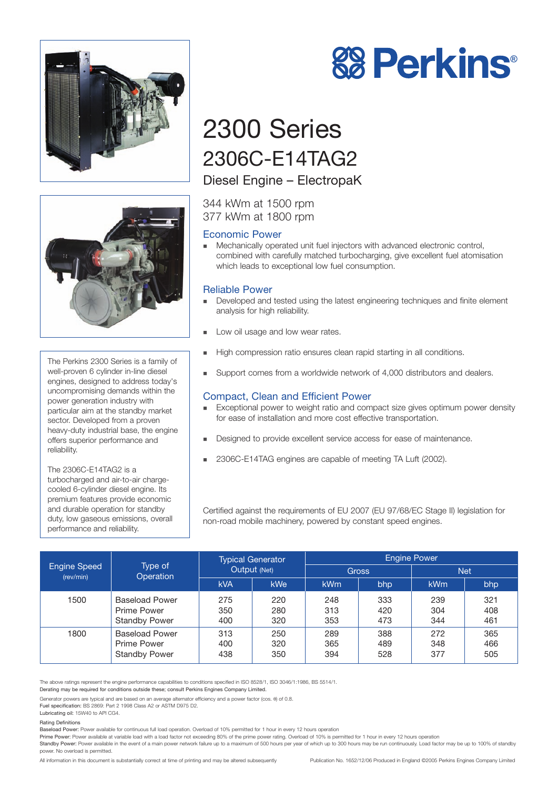



The Perkins 2300 Series is a family of well-proven 6 cylinder in-line diesel engines, designed to address today's uncompromising demands within the power generation industry with particular aim at the standby market sector. Developed from a proven heavy-duty industrial base, the engine offers superior performance and reliability.

The 2306C-E14TAG2 is a turbocharged and air-to-air chargecooled 6-cylinder diesel engine. Its premium features provide economic and durable operation for standby duty, low gaseous emissions, overall performance and reliability.



# 2300 Series 2306C-E14TAG2

## Diesel Engine – ElectropaK

344 kWm at 1500 rpm 377 kWm at 1800 rpm

## Economic Power

! Mechanically operated unit fuel injectors with advanced electronic control, combined with carefully matched turbocharging, give excellent fuel atomisation which leads to exceptional low fuel consumption.

## Reliable Power

- ! Developed and tested using the latest engineering techniques and finite element analysis for high reliability.
- **Low oil usage and low wear rates.**
- ! High compression ratio ensures clean rapid starting in all conditions.
- Support comes from a worldwide network of 4,000 distributors and dealers.

## Compact, Clean and Efficient Power

- Exceptional power to weight ratio and compact size gives optimum power density for ease of installation and more cost effective transportation.
- ! Designed to provide excellent service access for ease of maintenance.
- ! 2306C-E14TAG engines are capable of meeting TA Luft (2002).

Certified against the requirements of EU 2007 (EU 97/68/EC Stage II) legislation for non-road mobile machinery, powered by constant speed engines.

| <b>Engine Speed</b><br>(rev/min) | Type of<br>Operation                                         | <b>Typical Generator</b><br>Output (Net) |                   | <b>Engine Power</b> |                   |                   |                   |
|----------------------------------|--------------------------------------------------------------|------------------------------------------|-------------------|---------------------|-------------------|-------------------|-------------------|
|                                  |                                                              |                                          |                   | <b>Gross</b>        |                   | <b>Net</b>        |                   |
|                                  |                                                              | <b>kVA</b>                               | <b>kWe</b>        | <b>kWm</b>          | bhp               | <b>kWm</b>        | bhp               |
| 1500                             | <b>Baseload Power</b><br>Prime Power<br><b>Standby Power</b> | 275<br>350<br>400                        | 220<br>280<br>320 | 248<br>313<br>353   | 333<br>420<br>473 | 239<br>304<br>344 | 321<br>408<br>461 |
| 1800                             | <b>Baseload Power</b><br>Prime Power<br><b>Standby Power</b> | 313<br>400<br>438                        | 250<br>320<br>350 | 289<br>365<br>394   | 388<br>489<br>528 | 272<br>348<br>377 | 365<br>466<br>505 |

The above ratings represent the engine performance capabilities to conditions specified in ISO 8528/1, ISO 3046/1:1986, BS 5514/1. Derating may be required for conditions outside these; consult Perkins Engines Company Limited.

Generator powers are typical and are based on an average alternator efficiency and a power factor (cos. θ) of 0.8.

Fuel specification: BS 2869: Part 2 1998 Class A2 or ASTM D975 D2.

## Lubricating oil: 15W40 to API CG4.

power. No overload is permitted.

Rating Definitions

Baseload Power: Power available for continuous full load operation. Overload of 10% permitted for 1 hour in every 12 hours operation

Prime Power: Power available at variable load with a load factor not exceeding 80% of the prime power rating. Overload of 10% is permitted for 1 hour in every 12 hours operation Standby Power: Power available in the event of a main power network failure up to a maximum of 500 hours per year of which up to 300 hours may be run continuously. Load factor may be up to 100% of standby

All information in this document is substantially correct at time of printing and may be altered subsequently Publication No. 1652/12/06 Produced in England ©2005 Perkins Engines Company Limited